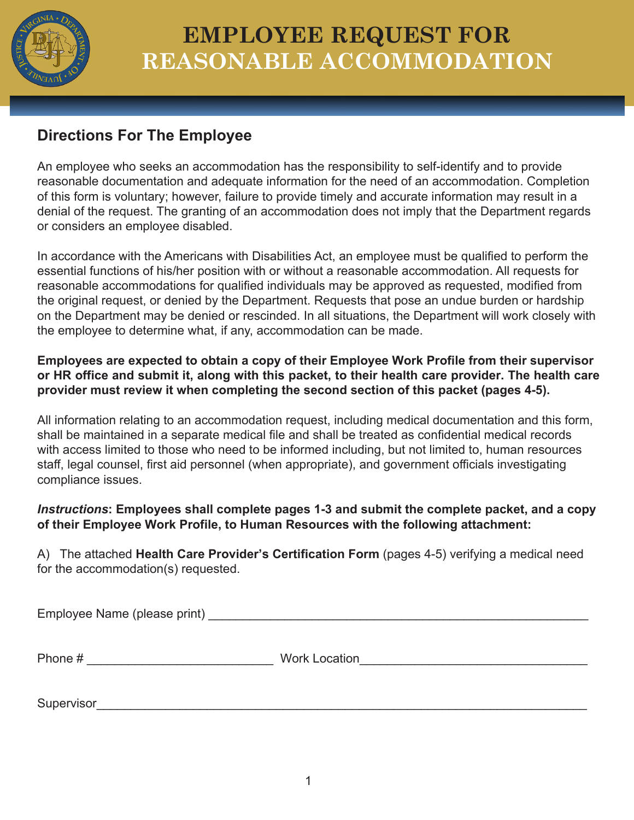

# **EMPLOYEE REQUEST FOR REASONABLE ACCOMMODATION**

### **Directions For The Employee**

An employee who seeks an accommodation has the responsibility to self-identify and to provide reasonable documentation and adequate information for the need of an accommodation. Completion of this form is voluntary; however, failure to provide timely and accurate information may result in a denial of the request. The granting of an accommodation does not imply that the Department regards or considers an employee disabled.

In accordance with the Americans with Disabilities Act, an employee must be qualified to perform the essential functions of his/her position with or without a reasonable accommodation. All requests for reasonable accommodations for qualified individuals may be approved as requested, modified from the original request, or denied by the Department. Requests that pose an undue burden or hardship on the Department may be denied or rescinded. In all situations, the Department will work closely with the employee to determine what, if any, accommodation can be made.

**Employees are expected to obtain a copy of their Employee Work Profile from their supervisor or HR office and submit it, along with this packet, to their health care provider. The health care provider must review it when completing the second section of this packet (pages 4-5).**

All information relating to an accommodation request, including medical documentation and this form, shall be maintained in a separate medical file and shall be treated as confidential medical records with access limited to those who need to be informed including, but not limited to, human resources staff, legal counsel, first aid personnel (when appropriate), and government officials investigating compliance issues.

#### *Instructions***: Employees shall complete pages 1-3 and submit the complete packet, and a copy of their Employee Work Profile, to Human Resources with the following attachment:**

A) The attached **Health Care Provider's Certification Form** (pages 4-5) verifying a medical need for the accommodation(s) requested.

Employee Name (please print) **Example 1** and the set of the set of the set of the set of the set of the set of the set of the set of the set of the set of the set of the set of the set of the set of the set of the set of t

| Pho<br>⊐ר<br>סוי | W.<br>$\n  1 \n  n$<br>- -<br>- 17<br>FILIUI.<br>n<br>$\cdots$ |
|------------------|----------------------------------------------------------------|
|                  |                                                                |

Supervisor\_\_\_\_\_\_\_\_\_\_\_\_\_\_\_\_\_\_\_\_\_\_\_\_\_\_\_\_\_\_\_\_\_\_\_\_\_\_\_\_\_\_\_\_\_\_\_\_\_\_\_\_\_\_\_\_\_\_\_\_\_\_\_\_\_\_\_\_\_\_\_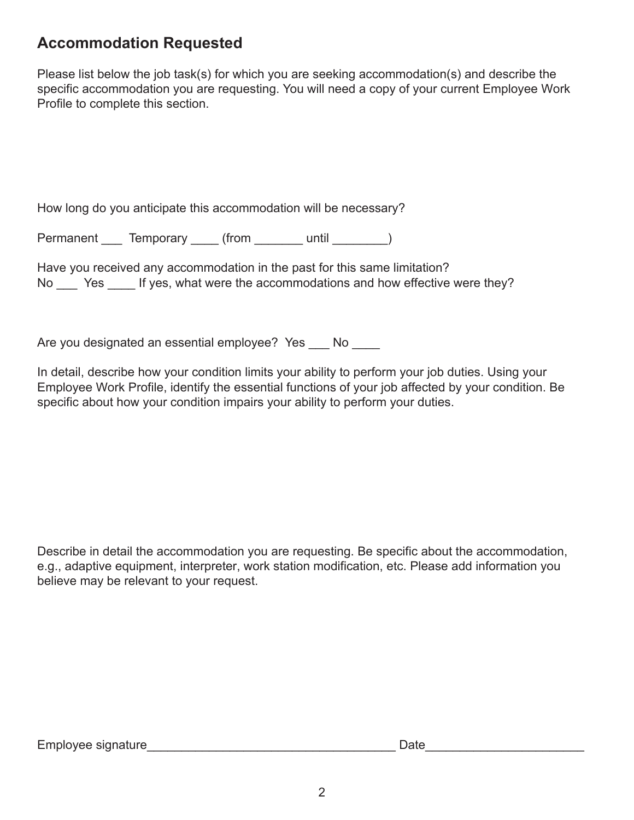### **Accommodation Requested**

Please list below the job task(s) for which you are seeking accommodation(s) and describe the specific accommodation you are requesting. You will need a copy of your current Employee Work Profile to complete this section.

How long do you anticipate this accommodation will be necessary?

Permanent \_\_\_\_ Temporary \_\_\_\_\_ (from \_\_\_\_\_\_\_\_ until \_\_\_\_\_\_\_\_)

No \_\_\_\_ Yes \_\_\_\_\_ If yes, what were the accommodations and how effective were they? Have you received any accommodation in the past for this same limitation?

Are you designated an essential employee? Yes \_\_\_ No \_\_\_\_

In detail, describe how your condition limits your ability to perform your job duties. Using your Employee Work Profile, identify the essential functions of your job affected by your condition. Be specific about how your condition impairs your ability to perform your duties.

Describe in detail the accommodation you are requesting. Be specific about the accommodation, e.g., adaptive equipment, interpreter, work station modification, etc. Please add information you believe may be relevant to your request.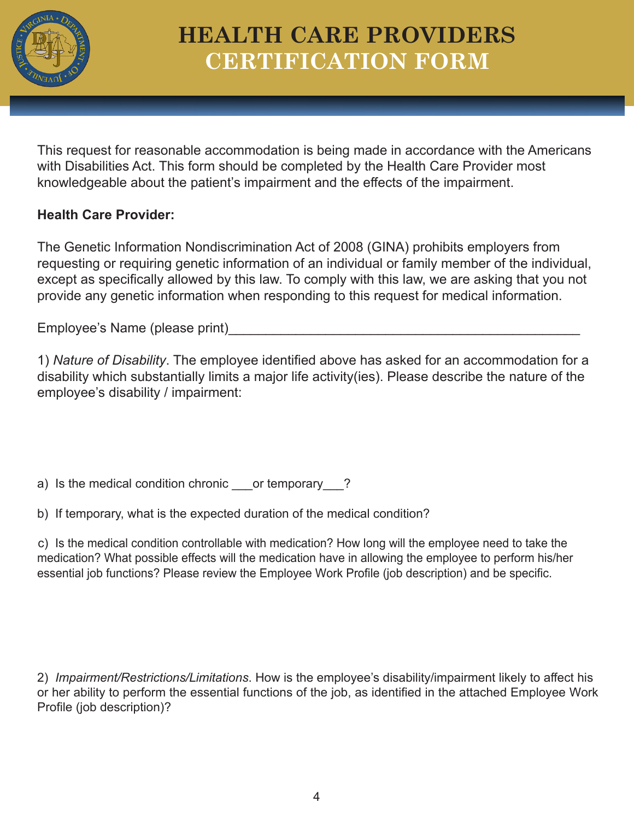

## **HEALTH CARE PROVIDERS CERTIFICATION FORM**

This request for reasonable accommodation is being made in accordance with the Americans with Disabilities Act. This form should be completed by the Health Care Provider most knowledgeable about the patient's impairment and the effects of the impairment.

#### **Health Care Provider:**

The Genetic Information Nondiscrimination Act of 2008 (GINA) prohibits employers from requesting or requiring genetic information of an individual or family member of the individual, except as specifically allowed by this law. To comply with this law, we are asking that you not provide any genetic information when responding to this request for medical information.

Employee's Name (please print)

1) *Nature of Disability*. The employee identified above has asked for an accommodation for a disability which substantially limits a major life activity(ies). Please describe the nature of the employee's disability / impairment:

a) Is the medical condition chronic or temporary ?

b) If temporary, what is the expected duration of the medical condition?

c) Is the medical condition controllable with medication? How long will the employee need to take the medication? What possible effects will the medication have in allowing the employee to perform his/her essential job functions? Please review the Employee Work Profile (job description) and be specific.

2) *Impairment/Restrictions/Limitations*. How is the employee's disability/impairment likely to affect his or her ability to perform the essential functions of the job, as identified in the attached Employee Work Profile (job description)?